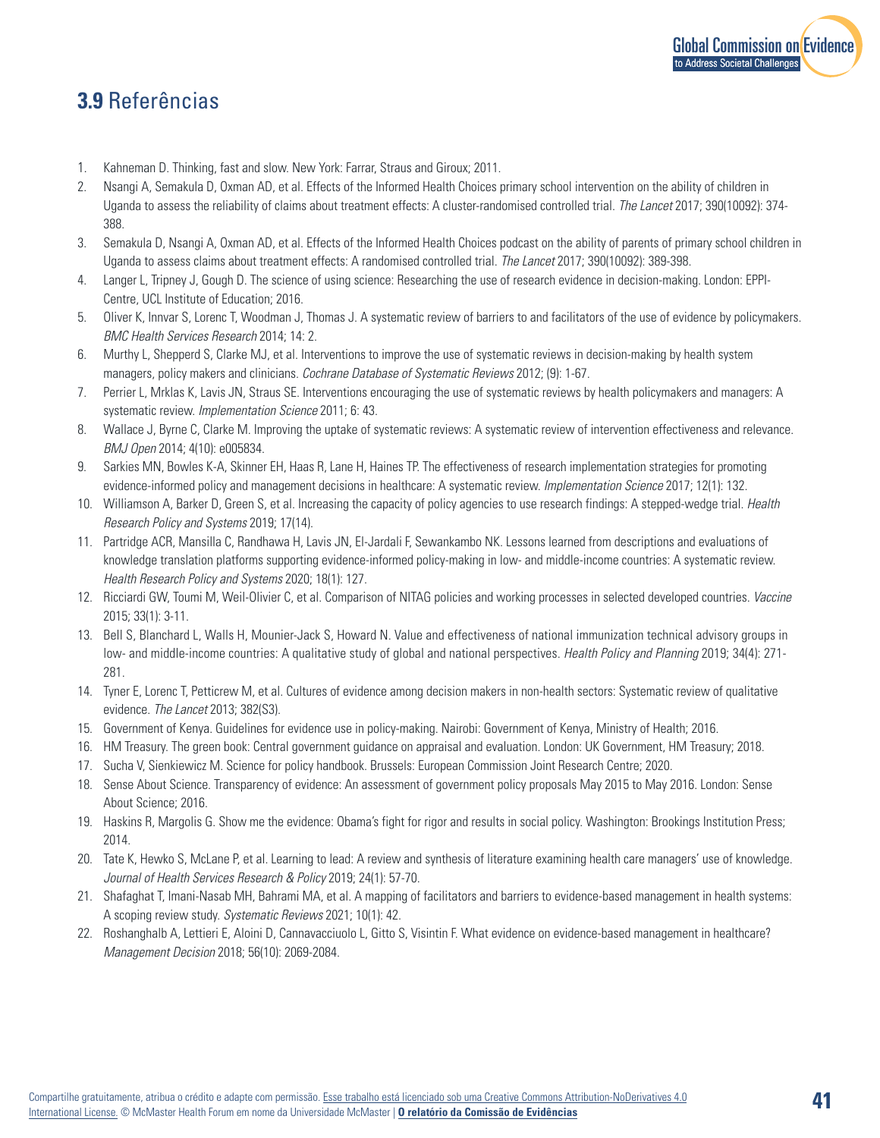

## **3.9** Referências

- 1. Kahneman D. Thinking, fast and slow. New York: Farrar, Straus and Giroux; 2011.
- 2. Nsangi A, Semakula D, Oxman AD, et al. Effects of the Informed Health Choices primary school intervention on the ability of children in Uganda to assess the reliability of claims about treatment effects: A cluster-randomised controlled trial. *The Lancet* 2017; 390(10092): 374- 388.
- 3. Semakula D, Nsangi A, Oxman AD, et al. Effects of the Informed Health Choices podcast on the ability of parents of primary school children in Uganda to assess claims about treatment effects: A randomised controlled trial. *The Lancet* 2017; 390(10092): 389-398.
- 4. Langer L, Tripney J, Gough D. The science of using science: Researching the use of research evidence in decision-making. London: EPPI-Centre, UCL Institute of Education; 2016.
- 5. Oliver K, Innvar S, Lorenc T, Woodman J, Thomas J. A systematic review of barriers to and facilitators of the use of evidence by policymakers. *BMC Health Services Research* 2014; 14: 2.
- 6. Murthy L, Shepperd S, Clarke MJ, et al. Interventions to improve the use of systematic reviews in decision-making by health system managers, policy makers and clinicians. *Cochrane Database of Systematic Reviews* 2012; (9): 1-67.
- 7. Perrier L, Mrklas K, Lavis JN, Straus SE. Interventions encouraging the use of systematic reviews by health policymakers and managers: A systematic review. *Implementation Science* 2011; 6: 43.
- 8. Wallace J, Byrne C, Clarke M. Improving the uptake of systematic reviews: A systematic review of intervention effectiveness and relevance. *BMJ Open* 2014; 4(10): e005834.
- 9. Sarkies MN, Bowles K-A, Skinner EH, Haas R, Lane H, Haines TP. The effectiveness of research implementation strategies for promoting evidence-informed policy and management decisions in healthcare: A systematic review. *Implementation Science* 2017; 12(1): 132.
- 10. Williamson A, Barker D, Green S, et al. Increasing the capacity of policy agencies to use research findings: A stepped-wedge trial. *Health Research Policy and Systems* 2019; 17(14).
- 11. Partridge ACR, Mansilla C, Randhawa H, Lavis JN, El-Jardali F, Sewankambo NK. Lessons learned from descriptions and evaluations of knowledge translation platforms supporting evidence-informed policy-making in low- and middle-income countries: A systematic review. *Health Research Policy and Systems* 2020; 18(1): 127.
- 12. Ricciardi GW, Toumi M, Weil-Olivier C, et al. Comparison of NITAG policies and working processes in selected developed countries. *Vaccine* 2015; 33(1): 3-11.
- 13. Bell S, Blanchard L, Walls H, Mounier-Jack S, Howard N. Value and effectiveness of national immunization technical advisory groups in low- and middle-income countries: A qualitative study of global and national perspectives. *Health Policy and Planning* 2019; 34(4): 271- 281.
- 14. Tyner E, Lorenc T, Petticrew M, et al. Cultures of evidence among decision makers in non-health sectors: Systematic review of qualitative evidence. *The Lancet* 2013; 382(S3).
- 15. Government of Kenya. Guidelines for evidence use in policy-making. Nairobi: Government of Kenya, Ministry of Health; 2016.
- 16. HM Treasury. The green book: Central government guidance on appraisal and evaluation. London: UK Government, HM Treasury; 2018.
- 17. Sucha V, Sienkiewicz M. Science for policy handbook. Brussels: European Commission Joint Research Centre; 2020.
- 18. Sense About Science. Transparency of evidence: An assessment of government policy proposals May 2015 to May 2016. London: Sense About Science; 2016.
- 19. Haskins R, Margolis G. Show me the evidence: Obama's fight for rigor and results in social policy. Washington: Brookings Institution Press; 2014.
- 20. Tate K, Hewko S, McLane P, et al. Learning to lead: A review and synthesis of literature examining health care managers' use of knowledge. *Journal of Health Services Research & Policy* 2019; 24(1): 57-70.
- 21. Shafaghat T, Imani-Nasab MH, Bahrami MA, et al. A mapping of facilitators and barriers to evidence-based management in health systems: A scoping review study. *Systematic Reviews* 2021; 10(1): 42.
- 22. Roshanghalb A, Lettieri E, Aloini D, Cannavacciuolo L, Gitto S, Visintin F. What evidence on evidence-based management in healthcare? *Management Decision* 2018; 56(10): 2069-2084.